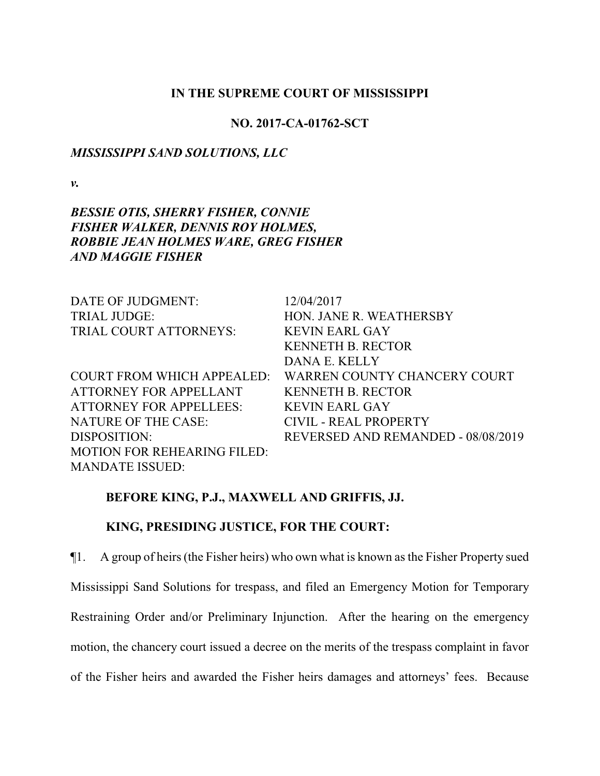## **IN THE SUPREME COURT OF MISSISSIPPI**

#### **NO. 2017-CA-01762-SCT**

### *MISSISSIPPI SAND SOLUTIONS, LLC*

*v.*

## *BESSIE OTIS, SHERRY FISHER, CONNIE FISHER WALKER, DENNIS ROY HOLMES, ROBBIE JEAN HOLMES WARE, GREG FISHER AND MAGGIE FISHER*

| DATE OF JUDGMENT:                  | 12/04/2017                         |
|------------------------------------|------------------------------------|
| <b>TRIAL JUDGE:</b>                | HON. JANE R. WEATHERSBY            |
| TRIAL COURT ATTORNEYS:             | <b>KEVIN EARL GAY</b>              |
|                                    | <b>KENNETH B. RECTOR</b>           |
|                                    | DANA E. KELLY                      |
| <b>COURT FROM WHICH APPEALED:</b>  | WARREN COUNTY CHANCERY COURT       |
| ATTORNEY FOR APPELLANT             | <b>KENNETH B. RECTOR</b>           |
| ATTORNEY FOR APPELLEES:            | <b>KEVIN EARL GAY</b>              |
| NATURE OF THE CASE:                | CIVIL - REAL PROPERTY              |
| DISPOSITION:                       | REVERSED AND REMANDED - 08/08/2019 |
| <b>MOTION FOR REHEARING FILED:</b> |                                    |
| <b>MANDATE ISSUED:</b>             |                                    |

## **BEFORE KING, P.J., MAXWELL AND GRIFFIS, JJ.**

## **KING, PRESIDING JUSTICE, FOR THE COURT:**

¶1. A group of heirs (the Fisher heirs) who own what is known as the Fisher Property sued Mississippi Sand Solutions for trespass, and filed an Emergency Motion for Temporary Restraining Order and/or Preliminary Injunction. After the hearing on the emergency motion, the chancery court issued a decree on the merits of the trespass complaint in favor of the Fisher heirs and awarded the Fisher heirs damages and attorneys' fees. Because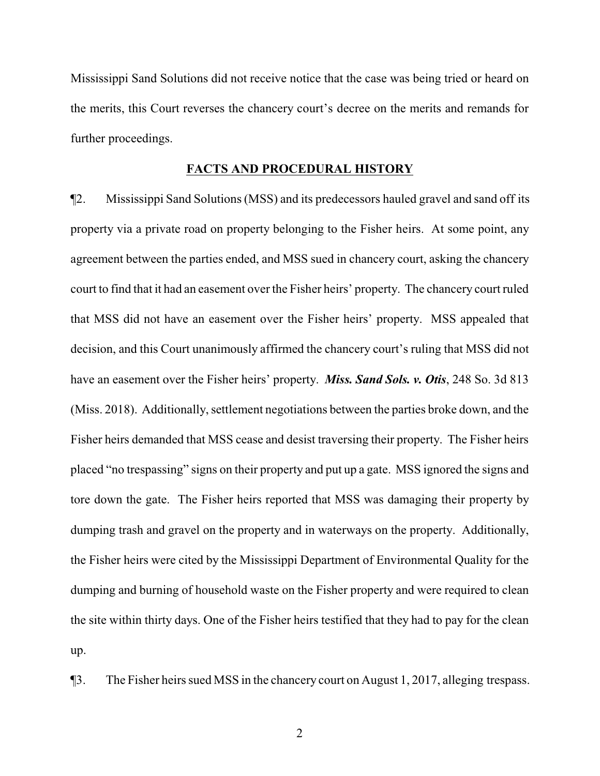Mississippi Sand Solutions did not receive notice that the case was being tried or heard on the merits, this Court reverses the chancery court's decree on the merits and remands for further proceedings.

## **FACTS AND PROCEDURAL HISTORY**

¶2. Mississippi Sand Solutions (MSS) and its predecessors hauled gravel and sand off its property via a private road on property belonging to the Fisher heirs. At some point, any agreement between the parties ended, and MSS sued in chancery court, asking the chancery court to find that it had an easement over the Fisher heirs' property. The chancery court ruled that MSS did not have an easement over the Fisher heirs' property. MSS appealed that decision, and this Court unanimously affirmed the chancery court's ruling that MSS did not have an easement over the Fisher heirs' property. *Miss. Sand Sols. v. Otis*, 248 So. 3d 813 (Miss. 2018). Additionally, settlement negotiations between the parties broke down, and the Fisher heirs demanded that MSS cease and desist traversing their property. The Fisher heirs placed "no trespassing" signs on their property and put up a gate. MSS ignored the signs and tore down the gate. The Fisher heirs reported that MSS was damaging their property by dumping trash and gravel on the property and in waterways on the property. Additionally, the Fisher heirs were cited by the Mississippi Department of Environmental Quality for the dumping and burning of household waste on the Fisher property and were required to clean the site within thirty days. One of the Fisher heirs testified that they had to pay for the clean up.

¶3. The Fisher heirs sued MSS in the chancery court on August 1, 2017, alleging trespass.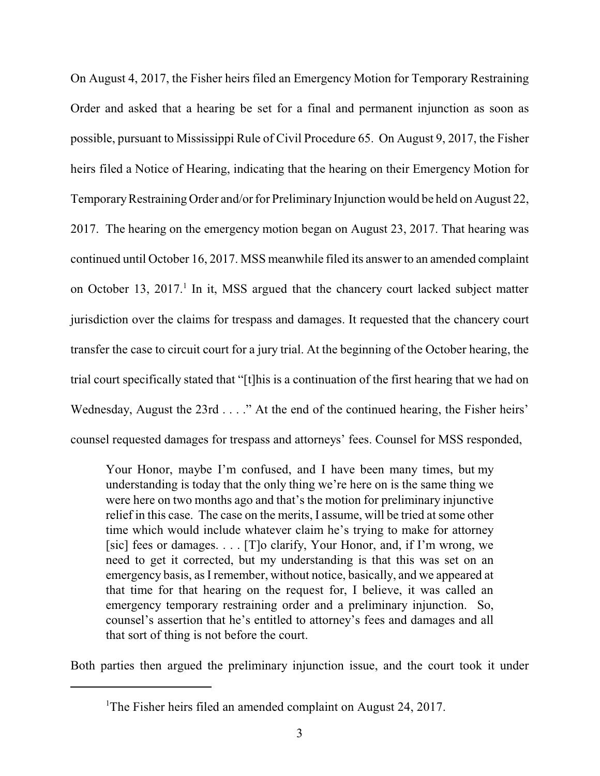On August 4, 2017, the Fisher heirs filed an Emergency Motion for Temporary Restraining Order and asked that a hearing be set for a final and permanent injunction as soon as possible, pursuant to Mississippi Rule of Civil Procedure 65. On August 9, 2017, the Fisher heirs filed a Notice of Hearing, indicating that the hearing on their Emergency Motion for Temporary Restraining Order and/or for Preliminary Injunction would be held on August 22, 2017. The hearing on the emergency motion began on August 23, 2017. That hearing was continued until October 16, 2017. MSS meanwhile filed its answer to an amended complaint on October 13, 2017.<sup>1</sup> In it, MSS argued that the chancery court lacked subject matter jurisdiction over the claims for trespass and damages. It requested that the chancery court transfer the case to circuit court for a jury trial. At the beginning of the October hearing, the trial court specifically stated that "[t]his is a continuation of the first hearing that we had on Wednesday, August the 23rd . . . ." At the end of the continued hearing, the Fisher heirs' counsel requested damages for trespass and attorneys' fees. Counsel for MSS responded,

Your Honor, maybe I'm confused, and I have been many times, but my understanding is today that the only thing we're here on is the same thing we were here on two months ago and that's the motion for preliminary injunctive relief in this case. The case on the merits, I assume, will be tried at some other time which would include whatever claim he's trying to make for attorney [sic] fees or damages. . . . [T]o clarify, Your Honor, and, if I'm wrong, we need to get it corrected, but my understanding is that this was set on an emergency basis, as I remember, without notice, basically, and we appeared at that time for that hearing on the request for, I believe, it was called an emergency temporary restraining order and a preliminary injunction. So, counsel's assertion that he's entitled to attorney's fees and damages and all that sort of thing is not before the court.

Both parties then argued the preliminary injunction issue, and the court took it under

<sup>&</sup>lt;sup>1</sup>The Fisher heirs filed an amended complaint on August 24, 2017.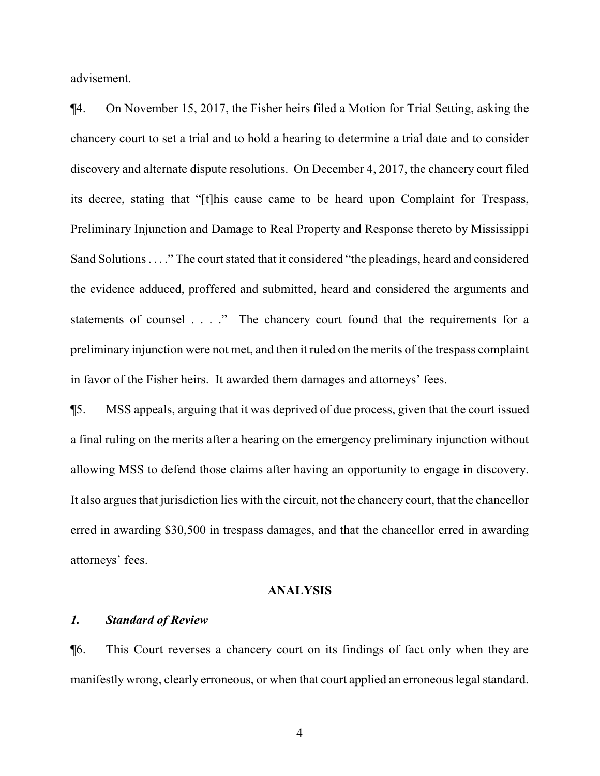advisement.

¶4. On November 15, 2017, the Fisher heirs filed a Motion for Trial Setting, asking the chancery court to set a trial and to hold a hearing to determine a trial date and to consider discovery and alternate dispute resolutions. On December 4, 2017, the chancery court filed its decree, stating that "[t]his cause came to be heard upon Complaint for Trespass, Preliminary Injunction and Damage to Real Property and Response thereto by Mississippi Sand Solutions . . . ." The court stated that it considered "the pleadings, heard and considered the evidence adduced, proffered and submitted, heard and considered the arguments and statements of counsel . . . ." The chancery court found that the requirements for a preliminary injunction were not met, and then it ruled on the merits of the trespass complaint in favor of the Fisher heirs. It awarded them damages and attorneys' fees.

¶5. MSS appeals, arguing that it was deprived of due process, given that the court issued a final ruling on the merits after a hearing on the emergency preliminary injunction without allowing MSS to defend those claims after having an opportunity to engage in discovery. It also argues that jurisdiction lies with the circuit, not the chancery court, that the chancellor erred in awarding \$30,500 in trespass damages, and that the chancellor erred in awarding attorneys' fees.

#### **ANALYSIS**

## *1. Standard of Review*

¶6. This Court reverses a chancery court on its findings of fact only when they are manifestly wrong, clearly erroneous, or when that court applied an erroneous legal standard.

4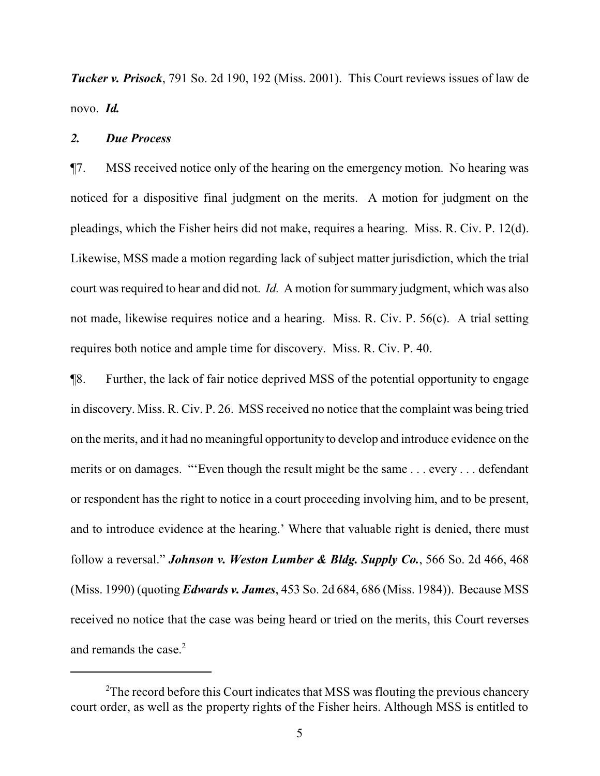*Tucker v. Prisock*, 791 So. 2d 190, 192 (Miss. 2001). This Court reviews issues of law de novo. *Id.*

#### *2. Due Process*

¶7. MSS received notice only of the hearing on the emergency motion. No hearing was noticed for a dispositive final judgment on the merits. A motion for judgment on the pleadings, which the Fisher heirs did not make, requires a hearing. Miss. R. Civ. P. 12(d). Likewise, MSS made a motion regarding lack of subject matter jurisdiction, which the trial court was required to hear and did not. *Id.* A motion for summary judgment, which was also not made, likewise requires notice and a hearing. Miss. R. Civ. P. 56(c). A trial setting requires both notice and ample time for discovery. Miss. R. Civ. P. 40.

¶8. Further, the lack of fair notice deprived MSS of the potential opportunity to engage in discovery. Miss. R. Civ. P. 26. MSS received no notice that the complaint was being tried on the merits, and it had no meaningful opportunity to develop and introduce evidence on the merits or on damages. "'Even though the result might be the same . . . every . . . defendant or respondent has the right to notice in a court proceeding involving him, and to be present, and to introduce evidence at the hearing.' Where that valuable right is denied, there must follow a reversal." *Johnson v. Weston Lumber & Bldg. Supply Co.*, 566 So. 2d 466, 468 (Miss. 1990) (quoting *Edwards v. James*, 453 So. 2d 684, 686 (Miss. 1984)). Because MSS received no notice that the case was being heard or tried on the merits, this Court reverses and remands the case.<sup>2</sup>

 $2$ The record before this Court indicates that MSS was flouting the previous chancery court order, as well as the property rights of the Fisher heirs. Although MSS is entitled to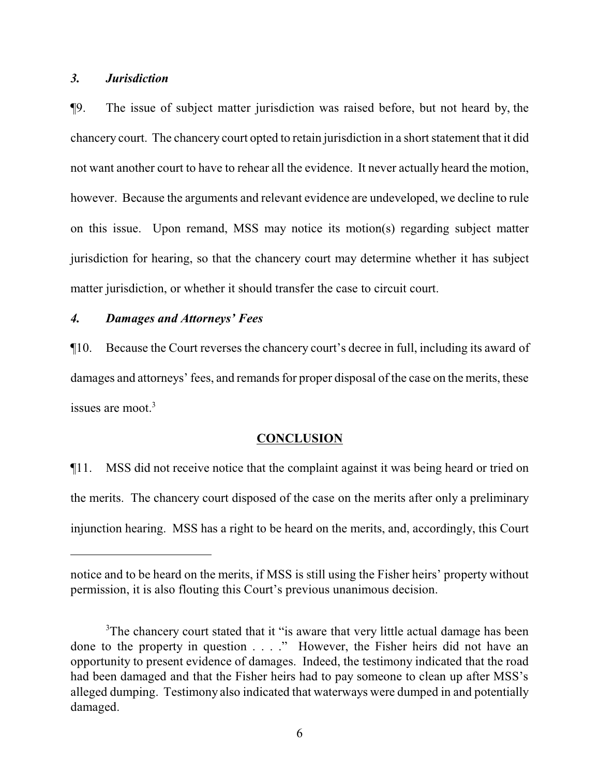### *3. Jurisdiction*

¶9. The issue of subject matter jurisdiction was raised before, but not heard by, the chancery court. The chancery court opted to retain jurisdiction in a short statement that it did not want another court to have to rehear all the evidence. It never actually heard the motion, however. Because the arguments and relevant evidence are undeveloped, we decline to rule on this issue. Upon remand, MSS may notice its motion(s) regarding subject matter jurisdiction for hearing, so that the chancery court may determine whether it has subject matter jurisdiction, or whether it should transfer the case to circuit court.

## *4. Damages and Attorneys' Fees*

¶10. Because the Court reverses the chancery court's decree in full, including its award of damages and attorneys' fees, and remands for proper disposal of the case on the merits, these issues are moot. $3$ 

### **CONCLUSION**

¶11. MSS did not receive notice that the complaint against it was being heard or tried on the merits. The chancery court disposed of the case on the merits after only a preliminary injunction hearing. MSS has a right to be heard on the merits, and, accordingly, this Court

notice and to be heard on the merits, if MSS is still using the Fisher heirs' property without permission, it is also flouting this Court's previous unanimous decision.

<sup>&</sup>lt;sup>3</sup>The chancery court stated that it "is aware that very little actual damage has been done to the property in question . . . ." However, the Fisher heirs did not have an opportunity to present evidence of damages. Indeed, the testimony indicated that the road had been damaged and that the Fisher heirs had to pay someone to clean up after MSS's alleged dumping. Testimony also indicated that waterways were dumped in and potentially damaged.